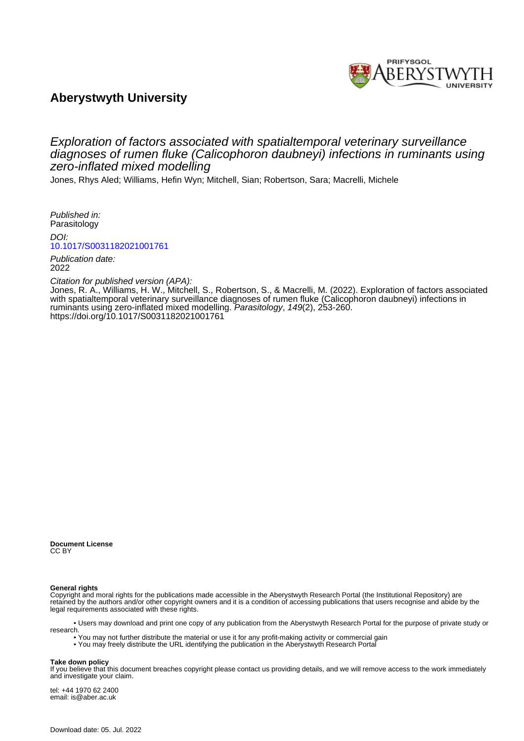

# **Aberystwyth University**

# Exploration of factors associated with spatialtemporal veterinary surveillance diagnoses of rumen fluke (Calicophoron daubneyi) infections in ruminants using zero-inflated mixed modelling

Jones, Rhys Aled; Williams, Hefin Wyn; Mitchell, Sian; Robertson, Sara; Macrelli, Michele

Published in: Parasitology

DOI:

[10.1017/S0031182021001761](https://doi.org/10.1017/S0031182021001761)

Publication date: 2022

## Citation for published version (APA):

[Jones, R. A.](https://pure.aber.ac.uk/portal/en/persons/rhys-jones(4db47966-3dd9-49e9-bc45-01fdf9f50a84).html)[, Williams, H. W.,](https://pure.aber.ac.uk/portal/en/persons/hefin-williams(2cf5af71-c06f-4659-8524-647b5b05d559).html) Mitchell, S., Robertson, S., & Macrelli, M. (2022). [Exploration of factors associated](https://pure.aber.ac.uk/portal/en/publications/exploration-of-factors-associated-with-spatialtemporal-veterinary-surveillance-diagnoses-of-rumen-fluke-calicophoron-daubneyi-infections-in-ruminants-using-zeroinflated-mixed-modelling(38e67df4-890e-4f95-a6fb-a386c96b6226).html) [with spatialtemporal veterinary surveillance diagnoses of rumen fluke \(Calicophoron daubneyi\) infections in](https://pure.aber.ac.uk/portal/en/publications/exploration-of-factors-associated-with-spatialtemporal-veterinary-surveillance-diagnoses-of-rumen-fluke-calicophoron-daubneyi-infections-in-ruminants-using-zeroinflated-mixed-modelling(38e67df4-890e-4f95-a6fb-a386c96b6226).html) [ruminants using zero-inflated mixed modelling](https://pure.aber.ac.uk/portal/en/publications/exploration-of-factors-associated-with-spatialtemporal-veterinary-surveillance-diagnoses-of-rumen-fluke-calicophoron-daubneyi-infections-in-ruminants-using-zeroinflated-mixed-modelling(38e67df4-890e-4f95-a6fb-a386c96b6226).html). Parasitology, 149(2), 253-260. <https://doi.org/10.1017/S0031182021001761>

**Document License** CC BY

## **General rights**

Copyright and moral rights for the publications made accessible in the Aberystwyth Research Portal (the Institutional Repository) are retained by the authors and/or other copyright owners and it is a condition of accessing publications that users recognise and abide by the legal requirements associated with these rights.

 • Users may download and print one copy of any publication from the Aberystwyth Research Portal for the purpose of private study or research.

• You may not further distribute the material or use it for any profit-making activity or commercial gain

• You may freely distribute the URL identifying the publication in the Aberystwyth Research Portal

#### **Take down policy**

If you believe that this document breaches copyright please contact us providing details, and we will remove access to the work immediately and investigate your claim.

tel: +44 1970 62 2400 email: is@aber.ac.uk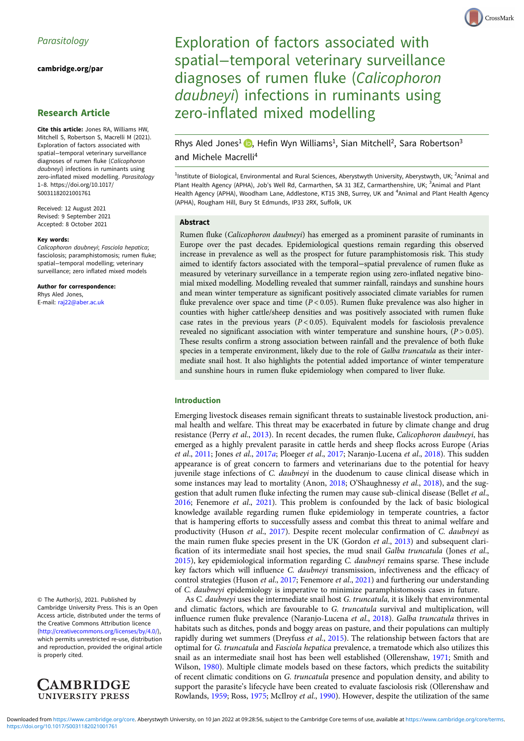[cambridge.org/par](https://www.cambridge.org/par)

## Research Article

Cite this article: Jones RA, Williams HW, Mitchell S, Robertson S, Macrelli M (2021). Exploration of factors associated with spatial−temporal veterinary surveillance diagnoses of rumen fluke (Calicophoron daubneyi) infections in ruminants using zero-inflated mixed modelling. Parasitology 1–8. [https://doi.org/10.1017/](https://doi.org/10.1017/S0031182021001761) [S0031182021001761](https://doi.org/10.1017/S0031182021001761)

Received: 12 August 2021 Revised: 9 September 2021 Accepted: 8 October 2021

#### Key words:

Calicophoron daubneyi; Fasciola hepatica; fasciolosis; paramphistomosis; rumen fluke; spatial−temporal modelling; veterinary surveillance; zero inflated mixed models

Author for correspondence: Rhys Aled Jones, E-mail: [raj22@aber.ac.uk](mailto:raj22@aber.ac.uk)

© The Author(s), 2021. Published by Cambridge University Press. This is an Open Access article, distributed under the terms of the Creative Commons Attribution licence ([http://creativecommons.org/licenses/by/4.0/\)](http://creativecommons.org/licenses/by/4.0/), which permits unrestricted re-use, distribution and reproduction, provided the original article is properly cited.



Rhys Aled Jones<sup>1</sup> **D**, Hefin Wyn Williams<sup>1</sup>, Sian Mitchell<sup>2</sup>, Sara Robertson<sup>3</sup> and Michele Macrelli4

<sup>1</sup>Institute of Biological, Environmental and Rural Sciences, Aberystwyth University, Aberystwyth, UK; <sup>2</sup>Animal and Plant Health Agency (APHA), Job's Well Rd, Carmarthen, SA 31 3EZ, Carmarthenshire, UK; <sup>3</sup>Animal and Plant Health Agency (APHA), Woodham Lane, Addlestone, KT15 3NB, Surrey, UK and <sup>4</sup>Animal and Plant Health Agency (APHA), Rougham Hill, Bury St Edmunds, IP33 2RX, Suffolk, UK

### Abstract

Rumen fluke (Calicophoron daubneyi) has emerged as a prominent parasite of ruminants in Europe over the past decades. Epidemiological questions remain regarding this observed increase in prevalence as well as the prospect for future paramphistomosis risk. This study aimed to identify factors associated with the temporal−spatial prevalence of rumen fluke as measured by veterinary surveillance in a temperate region using zero-inflated negative binomial mixed modelling. Modelling revealed that summer rainfall, raindays and sunshine hours and mean winter temperature as significant positively associated climate variables for rumen fluke prevalence over space and time ( $P < 0.05$ ). Rumen fluke prevalence was also higher in counties with higher cattle/sheep densities and was positively associated with rumen fluke case rates in the previous years  $(P < 0.05)$ . Equivalent models for fasciolosis prevalence revealed no significant association with winter temperature and sunshine hours,  $(P > 0.05)$ . These results confirm a strong association between rainfall and the prevalence of both fluke species in a temperate environment, likely due to the role of Galba truncatula as their intermediate snail host. It also highlights the potential added importance of winter temperature and sunshine hours in rumen fluke epidemiology when compared to liver fluke.

## Introduction

Emerging livestock diseases remain significant threats to sustainable livestock production, animal health and welfare. This threat may be exacerbated in future by climate change and drug resistance (Perry et al., [2013](#page-8-0)). In recent decades, the rumen fluke, Calicophoron daubneyi, has emerged as a highly prevalent parasite in cattle herds and sheep flocks across Europe (Arias et al., [2011;](#page-7-0) Jones et al., [2017](#page-8-0)a; Ploeger et al., 2017; Naranjo-Lucena et al., [2018\)](#page-8-0). This sudden appearance is of great concern to farmers and veterinarians due to the potential for heavy juvenile stage infections of C. daubneyi in the duodenum to cause clinical disease which in some instances may lead to mortality (Anon, [2018](#page-8-0); O'Shaughnessy et al., 2018), and the suggestion that adult rumen fluke infecting the rumen may cause sub-clinical disease (Bellet et al., [2016;](#page-7-0) Fenemore et al., [2021](#page-7-0)). This problem is confounded by the lack of basic biological knowledge available regarding rumen fluke epidemiology in temperate countries, a factor that is hampering efforts to successfully assess and combat this threat to animal welfare and productivity (Huson et al., [2017](#page-8-0)). Despite recent molecular confirmation of C. daubneyi as the main rumen fluke species present in the UK (Gordon et al., [2013\)](#page-7-0) and subsequent clarification of its intermediate snail host species, the mud snail Galba truncatula (Jones et al., [2015\)](#page-8-0), key epidemiological information regarding C. daubneyi remains sparse. These include key factors which will influence C. daubneyi transmission, infectiveness and the efficacy of control strategies (Huson et al., [2017;](#page-8-0) Fenemore et al., [2021\)](#page-7-0) and furthering our understanding of C. daubneyi epidemiology is imperative to minimize paramphistomosis cases in future.

As C. daubneyi uses the intermediate snail host G. truncatula, it is likely that environmental and climatic factors, which are favourable to G. truncatula survival and multiplication, will influence rumen fluke prevalence (Naranjo-Lucena et al., [2018\)](#page-8-0). Galba truncatula thrives in habitats such as ditches, ponds and boggy areas on pasture, and their populations can multiply rapidly during wet summers (Dreyfuss et al., [2015\)](#page-7-0). The relationship between factors that are optimal for G. truncatula and Fasciola hepatica prevalence, a trematode which also utilizes this snail as an intermediate snail host has been well established (Ollerenshaw, [1971;](#page-8-0) Smith and Wilson, [1980](#page-8-0)). Multiple climate models based on these factors, which predicts the suitability of recent climatic conditions on G. truncatula presence and population density, and ability to support the parasite's lifecycle have been created to evaluate fasciolosis risk (Ollerenshaw and Rowlands, [1959](#page-8-0); Ross, [1975;](#page-8-0) McIlroy et al., [1990](#page-8-0)). However, despite the utilization of the same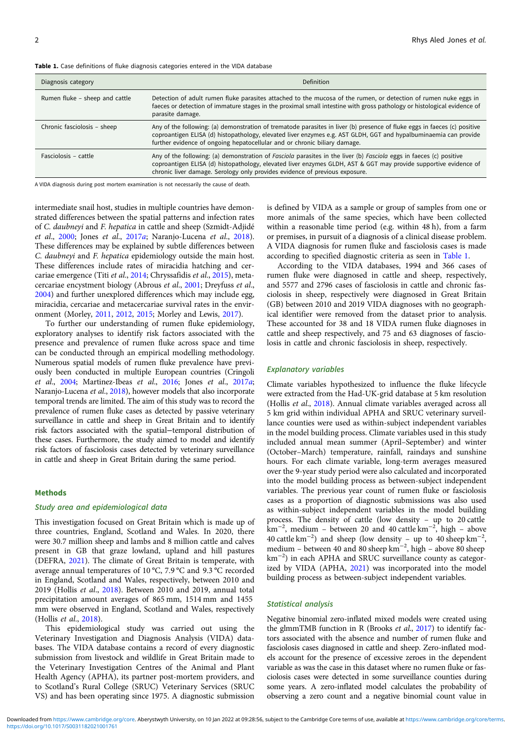| Diagnosis category             | Definition                                                                                                                                                                                                                                                                                                                 |
|--------------------------------|----------------------------------------------------------------------------------------------------------------------------------------------------------------------------------------------------------------------------------------------------------------------------------------------------------------------------|
| Rumen fluke – sheep and cattle | Detection of adult rumen fluke parasites attached to the mucosa of the rumen, or detection of rumen nuke eggs in<br>faeces or detection of immature stages in the proximal small intestine with gross pathology or histological evidence of<br>parasite damage.                                                            |
| Chronic fasciolosis - sheep    | Any of the following: (a) demonstration of trematode parasites in liver (b) presence of fluke eggs in faeces (c) positive<br>coproantigen ELISA (d) histopathology, elevated liver enzymes e.g. AST GLDH, GGT and hypalbuminaemia can provide<br>further evidence of ongoing hepatocellular and or chronic biliary damage. |
| Fasciolosis - cattle           | Any of the following: (a) demonstration of Fasciola parasites in the liver (b) Fasciola eggs in faeces (c) positive<br>coproantigen ELISA (d) histopathology, elevated liver enzymes GLDH, AST & GGT may provide supportive evidence of<br>chronic liver damage. Serology only provides evidence of previous exposure.     |

Table 1. Case definitions of fluke diagnosis categories entered in the VIDA database

A VIDA diagnosis during post mortem examination is not necessarily the cause of death.

intermediate snail host, studies in multiple countries have demonstrated differences between the spatial patterns and infection rates of C. daubneyi and F. hepatica in cattle and sheep (Szmidt-Adjidé et al., [2000;](#page-8-0) Jones et al., [2017](#page-8-0)a; Naranjo-Lucena et al., [2018\)](#page-8-0). These differences may be explained by subtle differences between C. daubneyi and F. hepatica epidemiology outside the main host. These differences include rates of miracidia hatching and cercariae emergence (Titi et al., [2014;](#page-8-0) Chryssafidis et al., [2015](#page-7-0)), metacercariae encystment biology (Abrous et al., [2001;](#page-7-0) Dreyfuss et al., [2004\)](#page-7-0) and further unexplored differences which may include egg, miracidia, cercariae and metacercariae survival rates in the environment (Morley, [2011,](#page-8-0) [2012](#page-8-0), [2015;](#page-8-0) Morley and Lewis, [2017](#page-8-0)).

To further our understanding of rumen fluke epidemiology, exploratory analyses to identify risk factors associated with the presence and prevalence of rumen fluke across space and time can be conducted through an empirical modelling methodology. Numerous spatial models of rumen fluke prevalence have previously been conducted in multiple European countries (Cringoli et al., [2004](#page-7-0); Martinez-Ibeas et al., [2016](#page-8-0); Jones et al., [2017](#page-8-0)a; Naranjo-Lucena et al., [2018\)](#page-8-0), however models that also incorporate temporal trends are limited. The aim of this study was to record the prevalence of rumen fluke cases as detected by passive veterinary surveillance in cattle and sheep in Great Britain and to identify risk factors associated with the spatial−temporal distribution of these cases. Furthermore, the study aimed to model and identify risk factors of fasciolosis cases detected by veterinary surveillance in cattle and sheep in Great Britain during the same period.

#### **Methods**

## Study area and epidemiological data

This investigation focused on Great Britain which is made up of three countries, England, Scotland and Wales. In 2020, there were 30.7 million sheep and lambs and 8 million cattle and calves present in GB that graze lowland, upland and hill pastures (DEFRA, [2021](#page-7-0)). The climate of Great Britain is temperate, with average annual temperatures of 10 °C, 7.9 °C and 9.3 °C recorded in England, Scotland and Wales, respectively, between 2010 and 2019 (Hollis et al., [2018](#page-8-0)). Between 2010 and 2019, annual total precipitation amount averages of 865 mm, 1514 mm and 1455 mm were observed in England, Scotland and Wales, respectively (Hollis et al., [2018](#page-8-0)).

This epidemiological study was carried out using the Veterinary Investigation and Diagnosis Analysis (VIDA) databases. The VIDA database contains a record of every diagnostic submission from livestock and wildlife in Great Britain made to the Veterinary Investigation Centres of the Animal and Plant Health Agency (APHA), its partner post-mortem providers, and to Scotland's Rural College (SRUC) Veterinary Services (SRUC VS) and has been operating since 1975. A diagnostic submission

is defined by VIDA as a sample or group of samples from one or more animals of the same species, which have been collected within a reasonable time period (e.g. within 48 h), from a farm or premises, in pursuit of a diagnosis of a clinical disease problem. A VIDA diagnosis for rumen fluke and fasciolosis cases is made according to specified diagnostic criteria as seen in Table 1.

According to the VIDA databases, 1994 and 366 cases of rumen fluke were diagnosed in cattle and sheep, respectively, and 5577 and 2796 cases of fasciolosis in cattle and chronic fasciolosis in sheep, respectively were diagnosed in Great Britain (GB) between 2010 and 2019 VIDA diagnoses with no geographical identifier were removed from the dataset prior to analysis. These accounted for 38 and 18 VIDA rumen fluke diagnoses in cattle and sheep respectively, and 75 and 63 diagnoses of fasciolosis in cattle and chronic fasciolosis in sheep, respectively.

## Explanatory variables

Climate variables hypothesized to influence the fluke lifecycle were extracted from the Had-UK-grid database at 5 km resolution (Hollis et al., [2018\)](#page-8-0). Annual climate variables averaged across all 5 km grid within individual APHA and SRUC veterinary surveillance counties were used as within-subject independent variables in the model building process. Climate variables used in this study included annual mean summer (April–September) and winter (October–March) temperature, rainfall, raindays and sunshine hours. For each climate variable, long-term averages measured over the 9-year study period were also calculated and incorporated into the model building process as between-subject independent variables. The previous year count of rumen fluke or fasciolosis cases as a proportion of diagnostic submissions was also used as within-subject independent variables in the model building process. The density of cattle (low density – up to 20 cattle  $km^{-2}$ , medium – between 20 and 40 cattle  $km^{-2}$ , high – above 40 cattle  $\text{km}^{-2}$ ) and sheep (low density – up to 40 sheep  $\text{km}^{-2}$ , medium – between 40 and 80 sheep km−<sup>2</sup> , high – above 80 sheep km<sup>-2</sup>) in each APHA and SRUC surveillance county as categorized by VIDA (APHA, [2021](#page-7-0)) was incorporated into the model building process as between-subject independent variables.

## Statistical analysis

Negative binomial zero-inflated mixed models were created using the glmmTMB function in R (Brooks et al., [2017](#page-7-0)) to identify factors associated with the absence and number of rumen fluke and fasciolosis cases diagnosed in cattle and sheep. Zero-inflated models account for the presence of excessive zeroes in the dependent variable as was the case in this dataset where no rumen fluke or fasciolosis cases were detected in some surveillance counties during some years. A zero-inflated model calculates the probability of observing a zero count and a negative binomial count value in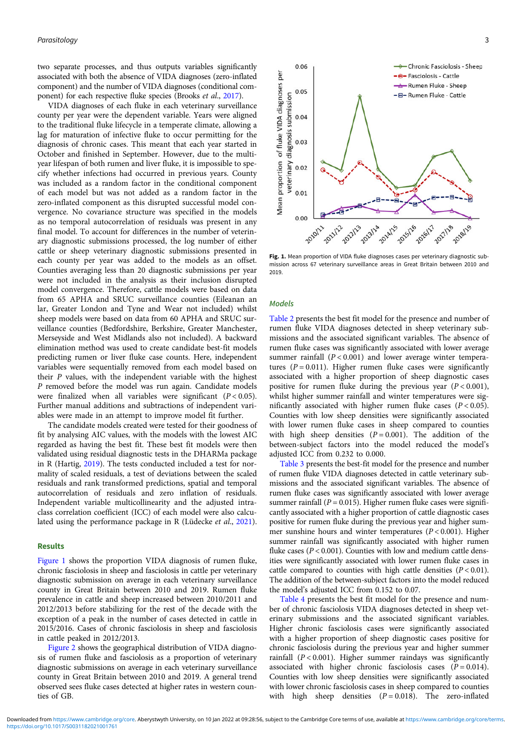two separate processes, and thus outputs variables significantly associated with both the absence of VIDA diagnoses (zero-inflated component) and the number of VIDA diagnoses (conditional component) for each respective fluke species (Brooks et al., [2017](#page-7-0)).

VIDA diagnoses of each fluke in each veterinary surveillance county per year were the dependent variable. Years were aligned to the traditional fluke lifecycle in a temperate climate, allowing a lag for maturation of infective fluke to occur permitting for the diagnosis of chronic cases. This meant that each year started in October and finished in September. However, due to the multiyear lifespan of both rumen and liver fluke, it is impossible to specify whether infections had occurred in previous years. County was included as a random factor in the conditional component of each model but was not added as a random factor in the zero-inflated component as this disrupted successful model convergence. No covariance structure was specified in the models as no temporal autocorrelation of residuals was present in any final model. To account for differences in the number of veterinary diagnostic submissions processed, the log number of either cattle or sheep veterinary diagnostic submissions presented in each county per year was added to the models as an offset. Counties averaging less than 20 diagnostic submissions per year were not included in the analysis as their inclusion disrupted model convergence. Therefore, cattle models were based on data from 65 APHA and SRUC surveillance counties (Eileanan an lar, Greater London and Tyne and Wear not included) whilst sheep models were based on data from 60 APHA and SRUC surveillance counties (Bedfordshire, Berkshire, Greater Manchester, Merseyside and West Midlands also not included). A backward elimination method was used to create candidate best-fit models predicting rumen or liver fluke case counts. Here, independent variables were sequentially removed from each model based on their P values, with the independent variable with the highest P removed before the model was run again. Candidate models were finalized when all variables were significant  $(P < 0.05)$ . Further manual additions and subtractions of independent variables were made in an attempt to improve model fit further.

The candidate models created were tested for their goodness of fit by analysing AIC values, with the models with the lowest AIC regarded as having the best fit. These best fit models were then validated using residual diagnostic tests in the DHARMa package in R (Hartig, [2019](#page-8-0)). The tests conducted included a test for normality of scaled residuals, a test of deviations between the scaled residuals and rank transformed predictions, spatial and temporal autocorrelation of residuals and zero inflation of residuals. Independent variable multicollinearity and the adjusted intraclass correlation coefficient (ICC) of each model were also calculated using the performance package in R (Lüdecke et al., [2021\)](#page-8-0).

## Results

Figure 1 shows the proportion VIDA diagnosis of rumen fluke, chronic fasciolosis in sheep and fasciolosis in cattle per veterinary diagnostic submission on average in each veterinary surveillance county in Great Britain between 2010 and 2019. Rumen fluke prevalence in cattle and sheep increased between 2010/2011 and 2012/2013 before stabilizing for the rest of the decade with the exception of a peak in the number of cases detected in cattle in 2015/2016. Cases of chronic fasciolosis in sheep and fasciolosis in cattle peaked in 2012/2013.

[Figure 2](#page-4-0) shows the geographical distribution of VIDA diagnosis of rumen fluke and fasciolosis as a proportion of veterinary diagnostic submissions on average in each veterinary surveillance county in Great Britain between 2010 and 2019. A general trend observed sees fluke cases detected at higher rates in western counties of GB.



Fig. 1. Mean proportion of VIDA fluke diagnoses cases per veterinary diagnostic submission across 67 veterinary surveillance areas in Great Britain between 2010 and 2019.

## Models

[Table 2](#page-5-0) presents the best fit model for the presence and number of rumen fluke VIDA diagnoses detected in sheep veterinary submissions and the associated significant variables. The absence of rumen fluke cases was significantly associated with lower average summer rainfall  $(P < 0.001)$  and lower average winter temperatures  $(P = 0.011)$ . Higher rumen fluke cases were significantly associated with a higher proportion of sheep diagnostic cases positive for rumen fluke during the previous year  $(P < 0.001)$ , whilst higher summer rainfall and winter temperatures were significantly associated with higher rumen fluke cases  $(P < 0.05)$ . Counties with low sheep densities were significantly associated with lower rumen fluke cases in sheep compared to counties with high sheep densities  $(P = 0.001)$ . The addition of the between-subject factors into the model reduced the model's adjusted ICC from 0.232 to 0.000.

[Table 3](#page-5-0) presents the best-fit model for the presence and number of rumen fluke VIDA diagnoses detected in cattle veterinary submissions and the associated significant variables. The absence of rumen fluke cases was significantly associated with lower average summer rainfall ( $P = 0.015$ ). Higher rumen fluke cases were significantly associated with a higher proportion of cattle diagnostic cases positive for rumen fluke during the previous year and higher summer sunshine hours and winter temperatures  $(P < 0.001)$ . Higher summer rainfall was significantly associated with higher rumen fluke cases ( $P < 0.001$ ). Counties with low and medium cattle densities were significantly associated with lower rumen fluke cases in cattle compared to counties with high cattle densities  $(P < 0.01)$ . The addition of the between-subject factors into the model reduced the model's adjusted ICC from 0.152 to 0.07.

[Table 4](#page-5-0) presents the best fit model for the presence and number of chronic fasciolosis VIDA diagnoses detected in sheep veterinary submissions and the associated significant variables. Higher chronic fasciolosis cases were significantly associated with a higher proportion of sheep diagnostic cases positive for chronic fasciolosis during the previous year and higher summer rainfall  $(P < 0.001)$ . Higher summer raindays was significantly associated with higher chronic fasciolosis cases  $(P = 0.014)$ . Counties with low sheep densities were significantly associated with lower chronic fasciolosis cases in sheep compared to counties with high sheep densities  $(P = 0.018)$ . The zero-inflated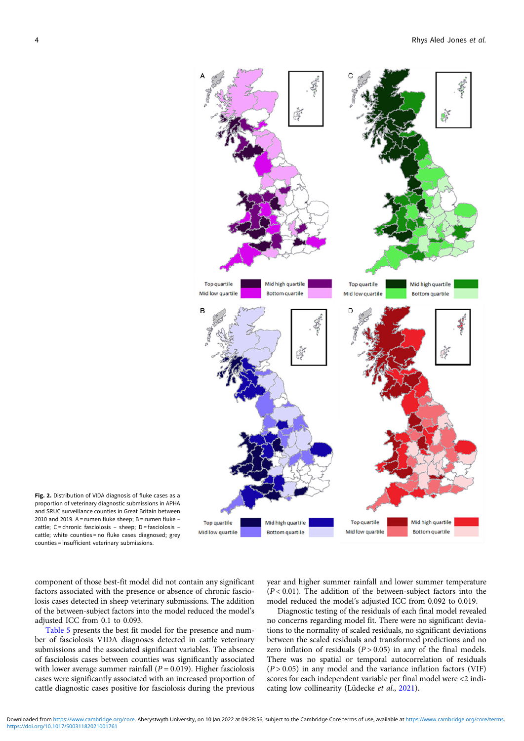<span id="page-4-0"></span>

Fig. 2. Distribution of VIDA diagnosis of fluke cases as a proportion of veterinary diagnostic submissions in APHA and SRUC surveillance counties in Great Britain between 2010 and 2019. A = rumen fluke sheep:  $B =$  rumen fluke – cattle; C = chronic fasciolosis – sheep; D = fasciolosis – cattle; white counties = no fluke cases diagnosed; grey counties = insufficient veterinary submissions.

adjusted ICC from 0.1 to 0.093.

component of those best-fit model did not contain any significant factors associated with the presence or absence of chronic fasciolosis cases detected in sheep veterinary submissions. The addition

year and higher summer rainfall and lower summer temperature  $(P < 0.01)$ . The addition of the between-subject factors into the model reduced the model's adjusted ICC from 0.092 to 0.019.

of the between-subject factors into the model reduced the model's [Table 5](#page-6-0) presents the best fit model for the presence and number of fasciolosis VIDA diagnoses detected in cattle veterinary submissions and the associated significant variables. The absence of fasciolosis cases between counties was significantly associated with lower average summer rainfall ( $P = 0.019$ ). Higher fasciolosis cases were significantly associated with an increased proportion of cattle diagnostic cases positive for fasciolosis during the previous Diagnostic testing of the residuals of each final model revealed no concerns regarding model fit. There were no significant deviations to the normality of scaled residuals, no significant deviations between the scaled residuals and transformed predictions and no zero inflation of residuals  $(P > 0.05)$  in any of the final models. There was no spatial or temporal autocorrelation of residuals  $(P > 0.05)$  in any model and the variance inflation factors (VIF) scores for each independent variable per final model were <2 indi-cating low collinearity (Lüdecke et al., [2021](#page-8-0)).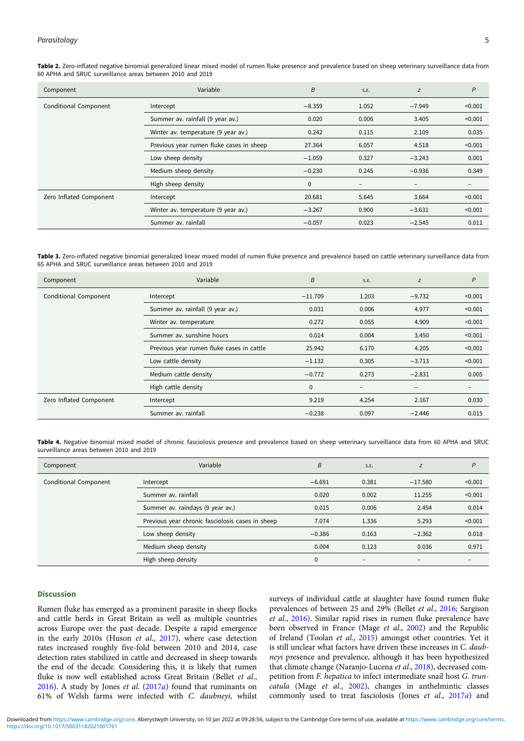| Component               | Variable                                 | B            | S.E.              | Z                        | $\overline{P}$    |
|-------------------------|------------------------------------------|--------------|-------------------|--------------------------|-------------------|
| Conditional Component   | Intercept                                | $-8.359$     | 1.052             | $-7.949$                 | < 0.001           |
|                         | Summer av. rainfall (9 year av.)         | 0.020        | 0.006             | 3.405                    | < 0.001           |
|                         | Winter av. temperature (9 year av.)      | 0.242        | 0.115             | 2.109                    | 0.035             |
|                         | Previous year rumen fluke cases in sheep | 27.364       | 6.057             | 4.518                    | < 0.001           |
|                         | Low sheep density                        | $-1.059$     | 0.327             | $-3.243$                 | 0.001             |
|                         | Medium sheep density                     | $-0.230$     | 0.245             | $-0.936$                 | 0.349             |
|                         | High sheep density                       | $\mathbf{0}$ | $\qquad \qquad -$ | $\overline{\phantom{0}}$ | $\qquad \qquad -$ |
| Zero Inflated Component | Intercept                                | 20.681       | 5.645             | 3.664                    | < 0.001           |
|                         | Winter av. temperature (9 year av.)      | $-3.267$     | 0.900             | $-3.631$                 | < 0.001           |
|                         | Summer av. rainfall                      | $-0.057$     | 0.023             | $-2.545$                 | 0.011             |

<span id="page-5-0"></span>Table 2. Zero-inflated negative binomial generalized linear mixed model of rumen fluke presence and prevalence based on sheep veterinary surveillance data from 60 APHA and SRUC surveillance areas between 2010 and 2019

Table 3. Zero-inflated negative binomial generalized linear mixed model of rumen fluke presence and prevalence based on cattle veterinary surveillance data from 65 APHA and SRUC surveillance areas between 2010 and 2019

| Component               | Variable                                  | B            | S.E.              | Z                        | P                 |
|-------------------------|-------------------------------------------|--------------|-------------------|--------------------------|-------------------|
| Conditional Component   | Intercept                                 | $-11.709$    | 1.203             | $-9.732$                 | < 0.001           |
|                         | Summer av. rainfall (9 year av.)          | 0.031        | 0.006             | 4.977                    | < 0.001           |
|                         | Winter av. temperature                    | 0.272        | 0.055             | 4.909                    | < 0.001           |
|                         | Summer av. sunshine hours                 | 0.014        | 0.004             | 3.450                    | < 0.001           |
|                         | Previous year rumen fluke cases in cattle | 25.942       | 6.170             | 4.205                    | < 0.001           |
|                         | Low cattle density                        | $-1.132$     | 0.305             | $-3.713$                 | < 0.001           |
|                         | Medium cattle density                     | $-0.772$     | 0.273             | $-2.831$                 | 0.005             |
|                         | High cattle density                       | $\mathbf{0}$ | $\qquad \qquad -$ | $\overline{\phantom{0}}$ | $\qquad \qquad -$ |
| Zero Inflated Component | Intercept                                 | 9.219        | 4.254             | 2.167                    | 0.030             |
|                         | Summer av. rainfall                       | $-0.238$     | 0.097             | $-2.446$                 | 0.015             |

Table 4. Negative binomial mixed model of chronic fasciolosis presence and prevalence based on sheep veterinary surveillance data from 60 APHA and SRUC surveillance areas between 2010 and 2019

| Component             | Variable                                         | B           | S.E.            | Z         | P       |
|-----------------------|--------------------------------------------------|-------------|-----------------|-----------|---------|
| Conditional Component | Intercept                                        | $-6.691$    | 0.381           | $-17.580$ | < 0.001 |
|                       | Summer av. rainfall                              | 0.020       | 0.002           | 11.255    | < 0.001 |
|                       | Summer av. raindays (9 year av.)                 | 0.015       | 0.006           | 2.454     | 0.014   |
|                       | Previous year chronic fasciolosis cases in sheep | 7.074       | 1.336           | 5.293     | < 0.001 |
|                       | Low sheep density                                | $-0.386$    | 0.163           | $-2.362$  | 0.018   |
|                       | Medium sheep density                             | 0.004       | 0.123           | 0.036     | 0.971   |
|                       | High sheep density                               | $\mathbf 0$ | $\qquad \qquad$ | -         |         |

## Discussion

Rumen fluke has emerged as a prominent parasite in sheep flocks and cattle herds in Great Britain as well as multiple countries across Europe over the past decade. Despite a rapid emergence in the early 2010s (Huson et al., [2017](#page-8-0)), where case detection rates increased roughly five-fold between 2010 and 2014, case detection rates stabilized in cattle and decreased in sheep towards the end of the decade. Considering this, it is likely that rumen fluke is now well established across Great Britain (Bellet et al.,  $2016$ ). A study by Jones *et al.*  $(2017a)$  $(2017a)$  found that ruminants on 61% of Welsh farms were infected with C. daubneyi, whilst surveys of individual cattle at slaughter have found rumen fluke prevalences of between 25 and 29% (Bellet et al., [2016;](#page-7-0) Sargison et al., [2016](#page-8-0)). Similar rapid rises in rumen fluke prevalence have been observed in France (Mage et al., [2002](#page-8-0)) and the Republic of Ireland (Toolan et al., [2015\)](#page-8-0) amongst other countries. Yet it is still unclear what factors have driven these increases in C. daubneyi presence and prevalence, although it has been hypothesized that climate change (Naranjo-Lucena et al., [2018](#page-8-0)), decreased competition from F. hepatica to infect intermediate snail host G. truncatula (Mage et al., [2002](#page-8-0)), changes in anthelmintic classes commonly used to treat fasciolosis (Jones et al., [2017](#page-8-0)a) and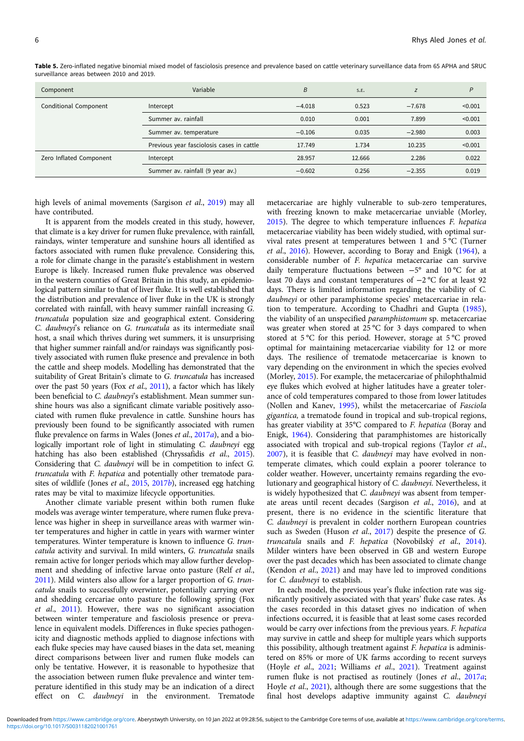| Component               | Variable                                  | B        | S.E.   | Z        | P       |
|-------------------------|-------------------------------------------|----------|--------|----------|---------|
| Conditional Component   | Intercept                                 | $-4.018$ | 0.523  | $-7.678$ | < 0.001 |
|                         | Summer av. rainfall                       | 0.010    | 0.001  | 7.899    | < 0.001 |
|                         | Summer av. temperature                    | $-0.106$ | 0.035  | $-2.980$ | 0.003   |
|                         | Previous year fasciolosis cases in cattle | 17.749   | 1.734  | 10.235   | < 0.001 |
| Zero Inflated Component | Intercept                                 | 28.957   | 12.666 | 2.286    | 0.022   |
|                         | Summer av. rainfall (9 year av.)          | $-0.602$ | 0.256  | $-2.355$ | 0.019   |

<span id="page-6-0"></span>Table 5. Zero-inflated negative binomial mixed model of fasciolosis presence and prevalence based on cattle veterinary surveillance data from 65 APHA and SRUC surveillance areas between 2010 and 2019.

high levels of animal movements (Sargison et al., [2019\)](#page-8-0) may all have contributed.

It is apparent from the models created in this study, however, that climate is a key driver for rumen fluke prevalence, with rainfall, raindays, winter temperature and sunshine hours all identified as factors associated with rumen fluke prevalence. Considering this, a role for climate change in the parasite's establishment in western Europe is likely. Increased rumen fluke prevalence was observed in the western counties of Great Britain in this study, an epidemiological pattern similar to that of liver fluke. It is well established that the distribution and prevalence of liver fluke in the UK is strongly correlated with rainfall, with heavy summer rainfall increasing G. truncatula population size and geographical extent. Considering C. daubneyi's reliance on G. truncatula as its intermediate snail host, a snail which thrives during wet summers, it is unsurprising that higher summer rainfall and/or raindays was significantly positively associated with rumen fluke presence and prevalence in both the cattle and sheep models. Modelling has demonstrated that the suitability of Great Britain's climate to G. truncatula has increased over the past 50 years (Fox et al., [2011\)](#page-7-0), a factor which has likely been beneficial to C. daubneyi's establishment. Mean summer sunshine hours was also a significant climate variable positively associated with rumen fluke prevalence in cattle. Sunshine hours has previously been found to be significantly associated with rumen fluke prevalence on farms in Wales (Jones et al., [2017](#page-8-0)a), and a biologically important role of light in stimulating C. daubneyi egg hatching has also been established (Chryssafidis et al., [2015\)](#page-7-0). Considering that C. daubneyi will be in competition to infect G. truncatula with F. hepatica and potentially other trematode para-sites of wildlife (Jones et al., [2015,](#page-8-0) [2017](#page-8-0)b), increased egg hatching rates may be vital to maximize lifecycle opportunities.

Another climate variable present within both rumen fluke models was average winter temperature, where rumen fluke prevalence was higher in sheep in surveillance areas with warmer winter temperatures and higher in cattle in years with warmer winter temperatures. Winter temperature is known to influence G. truncatula activity and survival. In mild winters, G. truncatula snails remain active for longer periods which may allow further development and shedding of infective larvae onto pasture (Relf et al., [2011\)](#page-8-0). Mild winters also allow for a larger proportion of G. truncatula snails to successfully overwinter, potentially carrying over and shedding cercariae onto pasture the following spring (Fox et al., [2011\)](#page-7-0). However, there was no significant association between winter temperature and fasciolosis presence or prevalence in equivalent models. Differences in fluke species pathogenicity and diagnostic methods applied to diagnose infections with each fluke species may have caused biases in the data set, meaning direct comparisons between liver and rumen fluke models can only be tentative. However, it is reasonable to hypothesize that the association between rumen fluke prevalence and winter temperature identified in this study may be an indication of a direct effect on C. daubneyi in the environment. Trematode

metacercariae are highly vulnerable to sub-zero temperatures, with freezing known to make metacercariae unviable (Morley, [2015\)](#page-8-0). The degree to which temperature influences F. hepatica metacercariae viability has been widely studied, with optimal survival rates present at temperatures between 1 and 5 °C (Turner et al., [2016](#page-8-0)). However, according to Boray and Enigk [\(1964](#page-7-0)), a considerable number of F. hepatica metacercariae can survive daily temperature fluctuations between −5° and 10 °C for at least 70 days and constant temperatures of −2 °C for at least 92 days. There is limited information regarding the viability of C. daubneyi or other paramphistome species' metacercariae in relation to temperature. According to Chadhri and Gupta [\(1985](#page-7-0)), the viability of an unspecified paramphistomum sp. metacercariae was greater when stored at 25 °C for 3 days compared to when stored at 5 °C for this period. However, storage at 5 °C proved optimal for maintaining metacercariae viability for 12 or more days. The resilience of trematode metacercariae is known to vary depending on the environment in which the species evolved (Morley, [2015](#page-8-0)). For example, the metacercariae of philophthalmid eye flukes which evolved at higher latitudes have a greater tolerance of cold temperatures compared to those from lower latitudes (Nollen and Kanev, [1995](#page-8-0)), whilst the metacercariae of Fasciola gigantica, a trematode found in tropical and sub-tropical regions, has greater viability at 35°C compared to F. hepatica (Boray and Enigk, [1964\)](#page-7-0). Considering that paramphistomes are historically associated with tropical and sub-tropical regions (Taylor et al., [2007\)](#page-8-0), it is feasible that C. daubneyi may have evolved in nontemperate climates, which could explain a poorer tolerance to colder weather. However, uncertainty remains regarding the evolutionary and geographical history of C. daubneyi. Nevertheless, it is widely hypothesized that C. daubneyi was absent from temperate areas until recent decades (Sargison et al., [2016](#page-8-0)), and at present, there is no evidence in the scientific literature that C. daubneyi is prevalent in colder northern European countries such as Sweden (Huson et al., [2017\)](#page-8-0) despite the presence of G. truncatula snails and F. hepatica (Novobilský et al., [2014](#page-8-0)). Milder winters have been observed in GB and western Europe over the past decades which has been associated to climate change (Kendon et al., [2021](#page-8-0)) and may have led to improved conditions for C. daubneyi to establish.

In each model, the previous year's fluke infection rate was significantly positively associated with that years' fluke case rates. As the cases recorded in this dataset gives no indication of when infections occurred, it is feasible that at least some cases recorded would be carry over infections from the previous years. F. hepatica may survive in cattle and sheep for multiple years which supports this possibility, although treatment against F. hepatica is administered on 85% or more of UK farms according to recent surveys (Hoyle et al., [2021;](#page-8-0) Williams et al., [2021\)](#page-8-0). Treatment against rumen fluke is not practised as routinely (Jones et al., [2017](#page-8-0)a; Hoyle et al., [2021\)](#page-8-0), although there are some suggestions that the final host develops adaptive immunity against C. daubneyi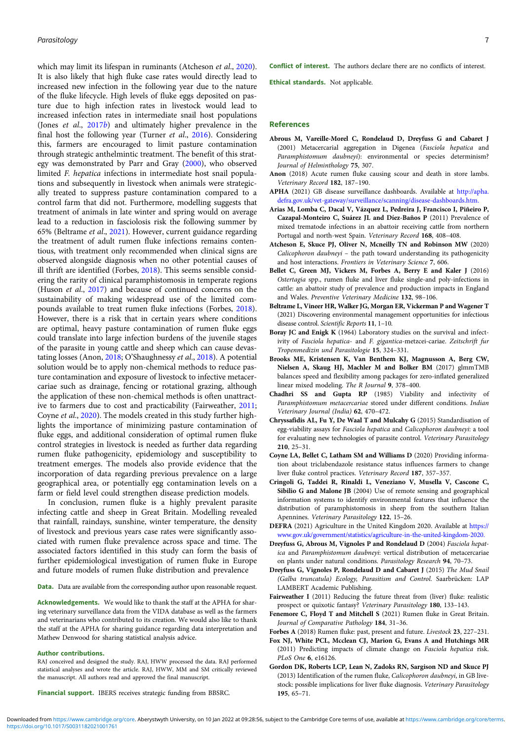<span id="page-7-0"></span>which may limit its lifespan in ruminants (Atcheson et al., 2020). It is also likely that high fluke case rates would directly lead to increased new infection in the following year due to the nature of the fluke lifecycle. High levels of fluke eggs deposited on pasture due to high infection rates in livestock would lead to increased infection rates in intermediate snail host populations (Jones et al., [2017](#page-8-0)b) and ultimately higher prevalence in the final host the following year (Turner et al., [2016](#page-8-0)). Considering this, farmers are encouraged to limit pasture contamination through strategic anthelmintic treatment. The benefit of this strategy was demonstrated by Parr and Gray [\(2000\)](#page-8-0), who observed limited F. hepatica infections in intermediate host snail populations and subsequently in livestock when animals were strategically treated to suppress pasture contamination compared to a control farm that did not. Furthermore, modelling suggests that treatment of animals in late winter and spring would on average lead to a reduction in fasciolosis risk the following summer by 65% (Beltrame et al., 2021). However, current guidance regarding the treatment of adult rumen fluke infections remains contentious, with treatment only recommended when clinical signs are observed alongside diagnosis when no other potential causes of ill thrift are identified (Forbes, 2018). This seems sensible considering the rarity of clinical paramphistomosis in temperate regions (Huson et al., [2017](#page-8-0)) and because of continued concerns on the sustainability of making widespread use of the limited compounds available to treat rumen fluke infections (Forbes, 2018). However, there is a risk that in certain years where conditions are optimal, heavy pasture contamination of rumen fluke eggs could translate into large infection burdens of the juvenile stages of the parasite in young cattle and sheep which can cause devastating losses (Anon, 2018; O'Shaughnessy et al., [2018\)](#page-8-0). A potential solution would be to apply non-chemical methods to reduce pasture contamination and exposure of livestock to infective metacercariae such as drainage, fencing or rotational grazing, although the application of these non-chemical methods is often unattractive to farmers due to cost and practicability (Fairweather, 2011; Coyne et al., 2020). The models created in this study further highlights the importance of minimizing pasture contamination of fluke eggs, and additional consideration of optimal rumen fluke control strategies in livestock is needed as further data regarding rumen fluke pathogenicity, epidemiology and susceptibility to treatment emerges. The models also provide evidence that the incorporation of data regarding previous prevalence on a large geographical area, or potentially egg contamination levels on a farm or field level could strengthen disease prediction models.

In conclusion, rumen fluke is a highly prevalent parasite infecting cattle and sheep in Great Britain. Modelling revealed that rainfall, raindays, sunshine, winter temperature, the density of livestock and previous years case rates were significantly associated with rumen fluke prevalence across space and time. The associated factors identified in this study can form the basis of further epidemiological investigation of rumen fluke in Europe and future models of rumen fluke distribution and prevalence

Data. Data are available from the corresponding author upon reasonable request.

Acknowledgements. We would like to thank the staff at the APHA for sharing veterinary surveillance data from the VIDA database as well as the farmers and veterinarians who contributed to its creation. We would also like to thank the staff at the APHA for sharing guidance regarding data interpretation and Mathew Denwood for sharing statistical analysis advice.

#### Author contributions.

RAJ conceived and designed the study. RAJ, HWW processed the data. RAJ performed statistical analyses and wrote the article. RAJ, HWW, MM and SM critically reviewed the manuscript. All authors read and approved the final manuscript.

Financial support. IBERS receives strategic funding from BBSRC.

Conflict of interest. The authors declare there are no conflicts of interest.

Ethical standards. Not applicable.

## References

- Abrous M, Vareille-Morel C, Rondelaud D, Dreyfuss G and Cabaret J (2001) Metacercarial aggregation in Digenea (Fasciola hepatica and Paramphistomum daubneyi): environmental or species determinism? Journal of Helminthology 75, 307.
- Anon (2018) Acute rumen fluke causing scour and death in store lambs. Veterinary Record 182, 187–190.
- APHA (2021) GB disease surveillance dashboards. Available at [http://apha.](http://apha.defra.gov.uk/vet-gateway/surveillance/scanning/disease-dashboards.htm.) [defra.gov.uk/vet-gateway/surveillance/scanning/disease-dashboards.htm.](http://apha.defra.gov.uk/vet-gateway/surveillance/scanning/disease-dashboards.htm.)
- Arias M, Lomba C, Dacal V, Vázquez L, Pedreira J, Francisco I, Piñeiro P, Cazapal-Monteiro C, Suárez JL and Díez-Baños P (2011) Prevalence of mixed trematode infections in an abattoir receiving cattle from northern Portugal and north-west Spain. Veterinary Record 168, 408–408.
- Atcheson E, Skuce PJ, Oliver N, Mcneilly TN and Robinson MW (2020) Calicophoron daubneyi – the path toward understanding its pathogenicity and host interactions. Frontiers in Veterinary Science 7, 606.
- Bellet C, Green MJ, Vickers M, Forbes A, Berry E and Kaler J (2016) Ostertagia spp., rumen fluke and liver fluke single-and poly-infections in cattle: an abattoir study of prevalence and production impacts in England and Wales. Preventive Veterinary Medicine 132, 98–106.
- Beltrame L, Vineer HR, Walker JG, Morgan ER, Vickerman P and Wagener T (2021) Discovering environmental management opportunities for infectious disease control. Scientific Reports 11, 1–10.
- Boray JC and Enigk K (1964) Laboratory studies on the survival and infectivity of Fasciola hepatica- and F. gigantica-metzcei-cariae. Zeitschrift fur Tropenmedizin und Parasitologie 15, 324–331.
- Brooks ME, Kristensen K, Van Benthem KJ, Magnusson A, Berg CW, Nielsen A, Skaug HJ, Machler M and Bolker BM (2017) glmmTMB balances speed and flexibility among packages for zero-inflated generalized linear mixed modeling. The R Journal 9, 378–400.
- Chadhri SS and Gupta RP (1985) Viability and infectivity of Paramphistomum metacercariae stored under different conditions. Indian Veterinary Journal (India) 62, 470–472.
- Chryssafidis AL, Fu Y, De Waal T and Mulcahy G (2015) Standardisation of egg-viability assays for Fasciola hepatica and Calicophoron daubneyi: a tool for evaluating new technologies of parasite control. Veterinary Parasitology 210, 25–31.
- Coyne LA, Bellet C, Latham SM and Williams D (2020) Providing information about triclabendazole resistance status influences farmers to change liver fluke control practices. Veterinary Record 187, 357–357.
- Cringoli G, Taddei R, Rinaldi L, Veneziano V, Musella V, Cascone C, Sibilio G and Malone JB (2004) Use of remote sensing and geographical information systems to identify environmental features that influence the distribution of paramphistomosis in sheep from the southern Italian Apennines. Veterinary Parasitology 122, 15–26.
- DEFRA (2021) Agriculture in the United Kingdom 2020. Available at [https://](https://www.gov.uk/government/statistics/agriculture-in-the-united-kingdom-2020.) [www.gov.uk/government/statistics/agriculture-in-the-united-kingdom-2020.](https://www.gov.uk/government/statistics/agriculture-in-the-united-kingdom-2020.)
- Dreyfuss G, Abrous M, Vignoles P and Rondelaud D (2004) Fasciola hepatica and Paramphistomum daubneyi: vertical distribution of metacercariae on plants under natural conditions. Parasitology Research 94, 70–73.
- Dreyfuss G, Vignoles P, Rondelaud D and Cabaret J (2015) The Mud Snail (Galba truncatula) Ecology, Parasitism and Control. Saarbrücken: LAP LAMBERT Academic Publishing.
- Fairweather I (2011) Reducing the future threat from (liver) fluke: realistic prospect or quixotic fantasy? Veterinary Parasitology 180, 133–143.
- Fenemore C, Floyd T and Mitchell S (2021) Rumen fluke in Great Britain. Journal of Comparative Pathology 184, 31–36.
- Forbes A (2018) Rumen fluke: past, present and future. Livestock 23, 227–231.
- Fox NJ, White PCL, Mcclean CJ, Marion G, Evans A and Hutchings MR (2011) Predicting impacts of climate change on Fasciola hepatica risk. PLoS One 6, e16126.
- Gordon DK, Roberts LCP, Lean N, Zadoks RN, Sargison ND and Skuce PJ (2013) Identification of the rumen fluke, Calicophoron daubneyi, in GB livestock: possible implications for liver fluke diagnosis. Veterinary Parasitology 195, 65–71.